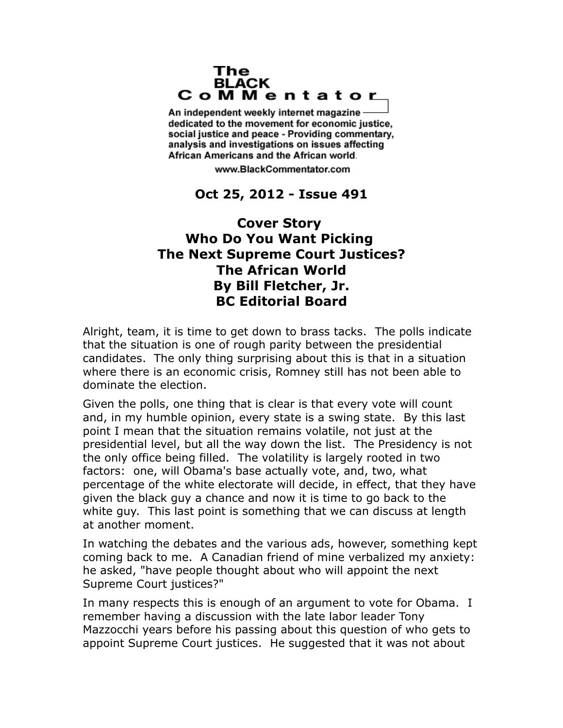## The **BLACK** CoMMentator

An independent weekly internet magazine dedicated to the movement for economic justice. social justice and peace - Providing commentary, analysis and investigations on issues affecting African Americans and the African world.

www.BlackCommentator.com

## **Oct 25, 2012 - Issue 491**

## **Cover Story Who Do You Want Picking The Next Supreme Court Justices? The African World By Bill Fletcher, Jr. BC Editorial Board**

Alright, team, it is time to get down to brass tacks. The polls indicate that the situation is one of rough parity between the presidential candidates. The only thing surprising about this is that in a situation where there is an economic crisis, Romney still has not been able to dominate the election.

Given the polls, one thing that is clear is that every vote will count and, in my humble opinion, every state is a swing state. By this last point I mean that the situation remains volatile, not just at the presidential level, but all the way down the list. The Presidency is not the only office being filled. The volatility is largely rooted in two factors: one, will Obama's base actually vote, and, two, what percentage of the white electorate will decide, in effect, that they have given the black guy a chance and now it is time to go back to the white guy. This last point is something that we can discuss at length at another moment.

In watching the debates and the various ads, however, something kept coming back to me. A Canadian friend of mine verbalized my anxiety: he asked, "have people thought about who will appoint the next Supreme Court justices?"

In many respects this is enough of an argument to vote for Obama. I remember having a discussion with the late labor leader Tony Mazzocchi years before his passing about this question of who gets to appoint Supreme Court justices. He suggested that it was not about